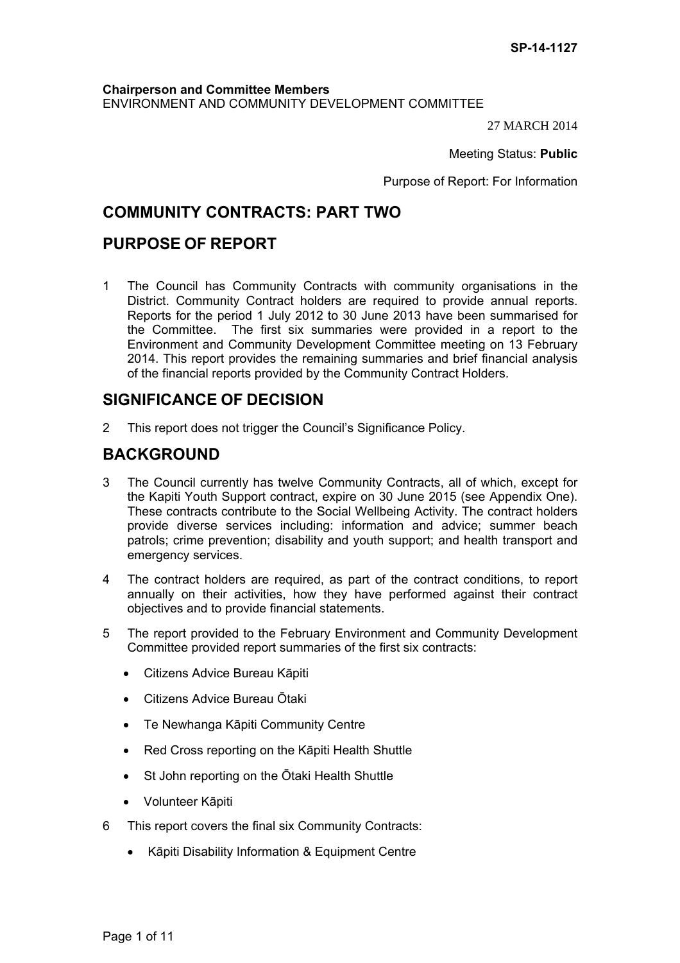### **Chairperson and Committee Members** ENVIRONMENT AND COMMUNITY DEVELOPMENT COMMITTEE

27 MARCH 2014

Meeting Status: **Public**

Purpose of Report: For Information

## **COMMUNITY CONTRACTS: PART TWO**

## **PURPOSE OF REPORT**

1 The Council has Community Contracts with community organisations in the District. Community Contract holders are required to provide annual reports. Reports for the period 1 July 2012 to 30 June 2013 have been summarised for the Committee. The first six summaries were provided in a report to the Environment and Community Development Committee meeting on 13 February 2014. This report provides the remaining summaries and brief financial analysis of the financial reports provided by the Community Contract Holders.

## **SIGNIFICANCE OF DECISION**

2 This report does not trigger the Council's Significance Policy.

## **BACKGROUND**

- 3 The Council currently has twelve Community Contracts, all of which, except for the Kapiti Youth Support contract, expire on 30 June 2015 (see Appendix One). These contracts contribute to the Social Wellbeing Activity. The contract holders provide diverse services including: information and advice; summer beach patrols; crime prevention; disability and youth support; and health transport and emergency services.
- 4 The contract holders are required, as part of the contract conditions, to report annually on their activities, how they have performed against their contract objectives and to provide financial statements.
- 5 The report provided to the February Environment and Community Development Committee provided report summaries of the first six contracts:
	- Citizens Advice Bureau Kāpiti
	- Citizens Advice Bureau Ōtaki
	- Te Newhanga Kāpiti Community Centre
	- Red Cross reporting on the Kāpiti Health Shuttle
	- St John reporting on the Ōtaki Health Shuttle
	- Volunteer Kāpiti
- 6 This report covers the final six Community Contracts:
	- Kāpiti Disability Information & Equipment Centre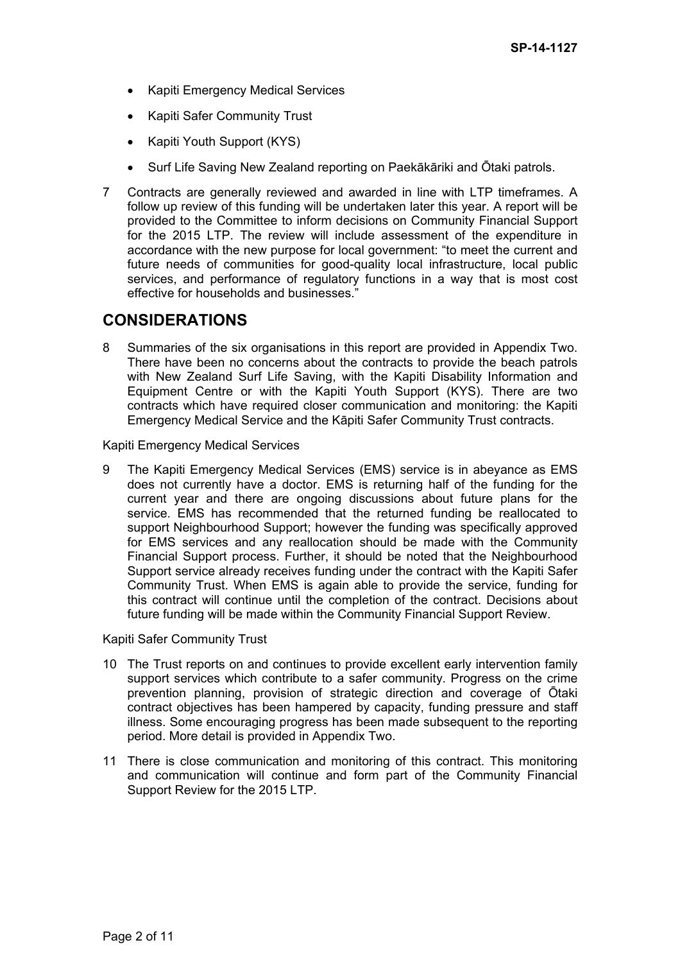- Kapiti Emergency Medical Services
- Kapiti Safer Community Trust
- Kapiti Youth Support (KYS)
- Surf Life Saving New Zealand reporting on Paekākāriki and Ōtaki patrols.
- 7 Contracts are generally reviewed and awarded in line with LTP timeframes. A follow up review of this funding will be undertaken later this year. A report will be provided to the Committee to inform decisions on Community Financial Support for the 2015 LTP. The review will include assessment of the expenditure in accordance with the new purpose for local government: "to meet the current and future needs of communities for good-quality local infrastructure, local public services, and performance of regulatory functions in a way that is most cost effective for households and businesses."

## **CONSIDERATIONS**

8 Summaries of the six organisations in this report are provided in Appendix Two. There have been no concerns about the contracts to provide the beach patrols with New Zealand Surf Life Saving, with the Kapiti Disability Information and Equipment Centre or with the Kapiti Youth Support (KYS). There are two contracts which have required closer communication and monitoring: the Kapiti Emergency Medical Service and the Kāpiti Safer Community Trust contracts.

Kapiti Emergency Medical Services

9 The Kapiti Emergency Medical Services (EMS) service is in abeyance as EMS does not currently have a doctor. EMS is returning half of the funding for the current year and there are ongoing discussions about future plans for the service. EMS has recommended that the returned funding be reallocated to support Neighbourhood Support; however the funding was specifically approved for EMS services and any reallocation should be made with the Community Financial Support process. Further, it should be noted that the Neighbourhood Support service already receives funding under the contract with the Kapiti Safer Community Trust. When EMS is again able to provide the service, funding for this contract will continue until the completion of the contract. Decisions about future funding will be made within the Community Financial Support Review.

Kapiti Safer Community Trust

- 10 The Trust reports on and continues to provide excellent early intervention family support services which contribute to a safer community. Progress on the crime prevention planning, provision of strategic direction and coverage of Ōtaki contract objectives has been hampered by capacity, funding pressure and staff illness. Some encouraging progress has been made subsequent to the reporting period. More detail is provided in Appendix Two.
- 11 There is close communication and monitoring of this contract. This monitoring and communication will continue and form part of the Community Financial Support Review for the 2015 LTP.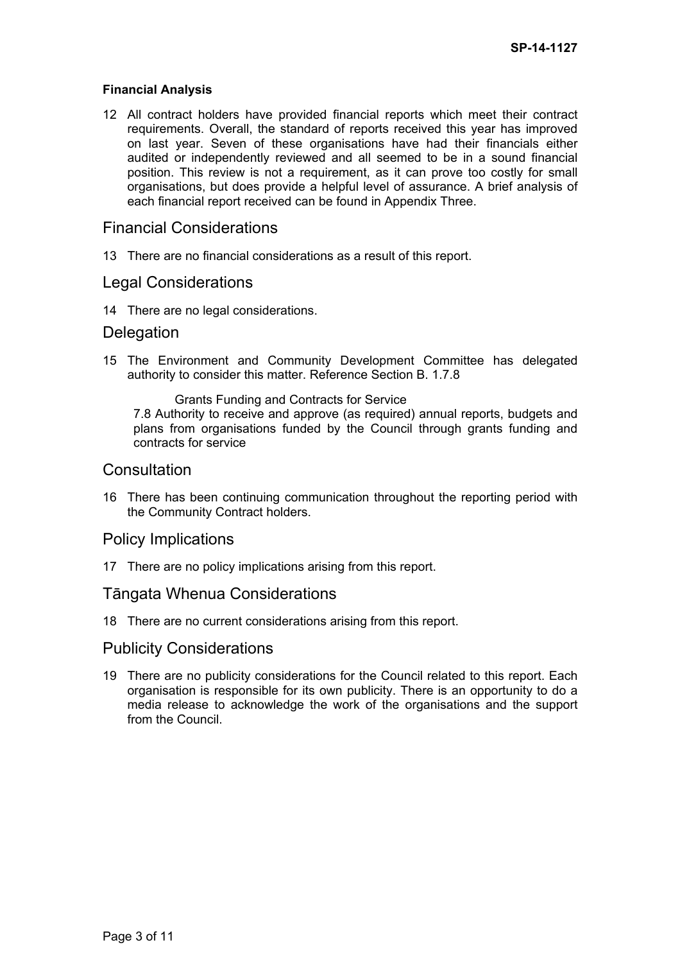#### **Financial Analysis**

12 All contract holders have provided financial reports which meet their contract requirements. Overall, the standard of reports received this year has improved on last year. Seven of these organisations have had their financials either audited or independently reviewed and all seemed to be in a sound financial position. This review is not a requirement, as it can prove too costly for small organisations, but does provide a helpful level of assurance. A brief analysis of each financial report received can be found in Appendix Three.

## Financial Considerations

13 There are no financial considerations as a result of this report.

### Legal Considerations

14 There are no legal considerations.

### **Delegation**

15 The Environment and Community Development Committee has delegated authority to consider this matter. Reference Section B. 1.7.8

Grants Funding and Contracts for Service 7.8 Authority to receive and approve (as required) annual reports, budgets and plans from organisations funded by the Council through grants funding and contracts for service

### **Consultation**

16 There has been continuing communication throughout the reporting period with the Community Contract holders.

## Policy Implications

17 There are no policy implications arising from this report.

## Tāngata Whenua Considerations

18 There are no current considerations arising from this report.

## Publicity Considerations

19 There are no publicity considerations for the Council related to this report. Each organisation is responsible for its own publicity. There is an opportunity to do a media release to acknowledge the work of the organisations and the support from the Council.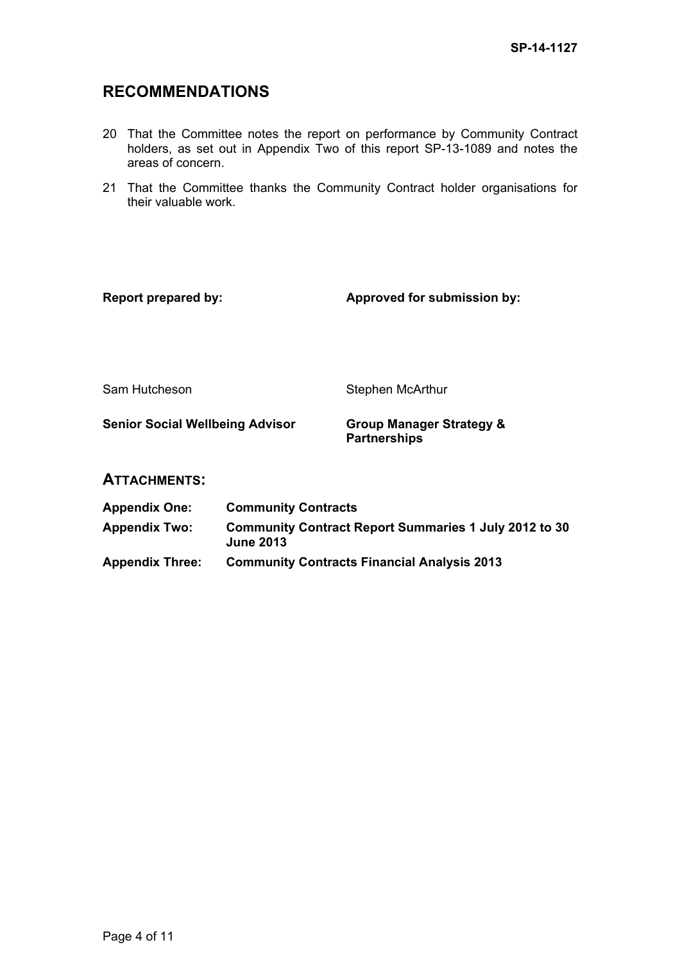# **RECOMMENDATIONS**

- 20 That the Committee notes the report on performance by Community Contract holders, as set out in Appendix Two of this report SP-13-1089 and notes the areas of concern.
- 21 That the Committee thanks the Community Contract holder organisations for their valuable work.

| <b>Report prepared by:</b>             |                                                                                  | Approved for submission by:                                |  |  |  |  |
|----------------------------------------|----------------------------------------------------------------------------------|------------------------------------------------------------|--|--|--|--|
| Sam Hutcheson                          |                                                                                  | Stephen McArthur                                           |  |  |  |  |
| <b>Senior Social Wellbeing Advisor</b> |                                                                                  | <b>Group Manager Strategy &amp;</b><br><b>Partnerships</b> |  |  |  |  |
| <b>ATTACHMENTS:</b>                    |                                                                                  |                                                            |  |  |  |  |
| <b>Appendix One:</b>                   | <b>Community Contracts</b>                                                       |                                                            |  |  |  |  |
| <b>Appendix Two:</b>                   | <b>Community Contract Report Summaries 1 July 2012 to 30</b><br><b>June 2013</b> |                                                            |  |  |  |  |

**Appendix Three: Community Contracts Financial Analysis 2013**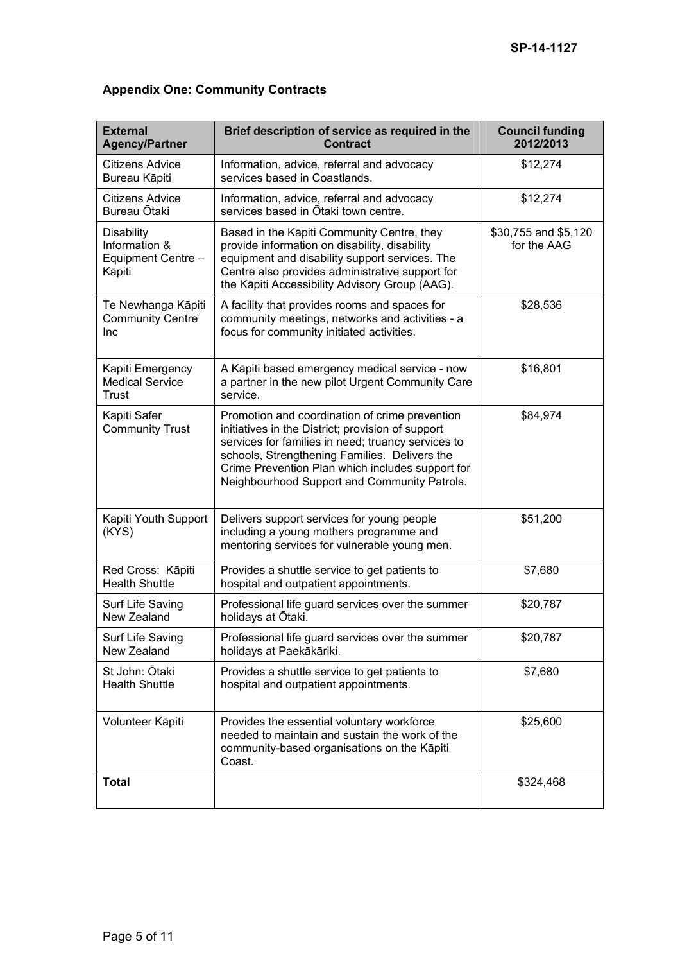| <b>External</b><br><b>Agency/Partner</b>                           | Brief description of service as required in the<br><b>Contract</b>                                                                                                                                                                                                                                             | <b>Council funding</b><br>2012/2013 |  |  |  |
|--------------------------------------------------------------------|----------------------------------------------------------------------------------------------------------------------------------------------------------------------------------------------------------------------------------------------------------------------------------------------------------------|-------------------------------------|--|--|--|
| Citizens Advice<br>Bureau Kāpiti                                   | Information, advice, referral and advocacy<br>services based in Coastlands.                                                                                                                                                                                                                                    | \$12,274                            |  |  |  |
| Citizens Advice<br>Bureau Ōtaki                                    | Information, advice, referral and advocacy<br>services based in Otaki town centre.                                                                                                                                                                                                                             | \$12,274                            |  |  |  |
| <b>Disability</b><br>Information &<br>Equipment Centre -<br>Kāpiti | Based in the Kāpiti Community Centre, they<br>provide information on disability, disability<br>equipment and disability support services. The<br>Centre also provides administrative support for<br>the Kāpiti Accessibility Advisory Group (AAG).                                                             | \$30,755 and \$5,120<br>for the AAG |  |  |  |
| Te Newhanga Kāpiti<br><b>Community Centre</b><br>Inc               | A facility that provides rooms and spaces for<br>community meetings, networks and activities - a<br>focus for community initiated activities.                                                                                                                                                                  | \$28,536                            |  |  |  |
| Kapiti Emergency<br><b>Medical Service</b><br>Trust                | A Kāpiti based emergency medical service - now<br>a partner in the new pilot Urgent Community Care<br>service.                                                                                                                                                                                                 | \$16,801                            |  |  |  |
| Kapiti Safer<br><b>Community Trust</b>                             | Promotion and coordination of crime prevention<br>initiatives in the District; provision of support<br>services for families in need; truancy services to<br>schools, Strengthening Families. Delivers the<br>Crime Prevention Plan which includes support for<br>Neighbourhood Support and Community Patrols. | \$84,974                            |  |  |  |
| Kapiti Youth Support<br>(KYS)                                      | Delivers support services for young people<br>including a young mothers programme and<br>mentoring services for vulnerable young men.                                                                                                                                                                          | \$51,200                            |  |  |  |
| Red Cross: Kāpiti<br><b>Health Shuttle</b>                         | Provides a shuttle service to get patients to<br>hospital and outpatient appointments.                                                                                                                                                                                                                         | \$7,680                             |  |  |  |
| Surf Life Saving<br>New Zealand                                    | Professional life guard services over the summer<br>holidays at Ōtaki.                                                                                                                                                                                                                                         | \$20,787                            |  |  |  |
| Surf Life Saving<br>New Zealand                                    | Professional life guard services over the summer<br>holidays at Paekākāriki.                                                                                                                                                                                                                                   | \$20,787                            |  |  |  |
| St John: Otaki<br><b>Health Shuttle</b>                            | Provides a shuttle service to get patients to<br>hospital and outpatient appointments.                                                                                                                                                                                                                         | \$7,680                             |  |  |  |
| Volunteer Kāpiti                                                   | Provides the essential voluntary workforce<br>needed to maintain and sustain the work of the<br>community-based organisations on the Kāpiti<br>Coast.                                                                                                                                                          | \$25,600                            |  |  |  |
| <b>Total</b>                                                       |                                                                                                                                                                                                                                                                                                                | \$324,468                           |  |  |  |

# **Appendix One: Community Contracts**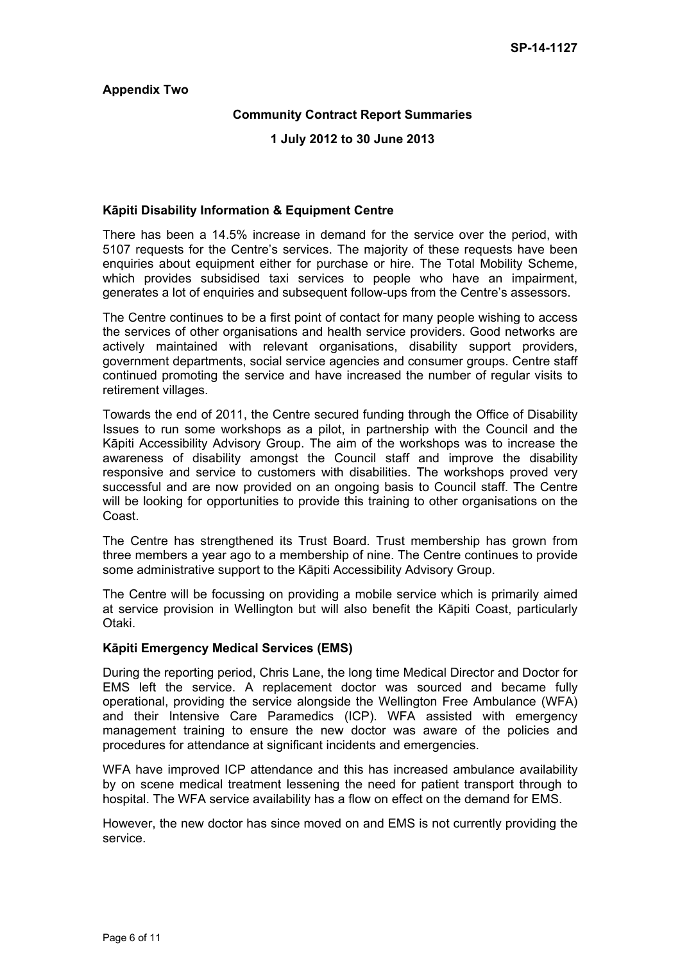#### **Appendix Two**

### **Community Contract Report Summaries**

#### **1 July 2012 to 30 June 2013**

#### **Kāpiti Disability Information & Equipment Centre**

There has been a 14.5% increase in demand for the service over the period, with 5107 requests for the Centre's services. The majority of these requests have been enquiries about equipment either for purchase or hire. The Total Mobility Scheme, which provides subsidised taxi services to people who have an impairment, generates a lot of enquiries and subsequent follow-ups from the Centre's assessors.

The Centre continues to be a first point of contact for many people wishing to access the services of other organisations and health service providers. Good networks are actively maintained with relevant organisations, disability support providers, government departments, social service agencies and consumer groups. Centre staff continued promoting the service and have increased the number of regular visits to retirement villages.

Towards the end of 2011, the Centre secured funding through the Office of Disability Issues to run some workshops as a pilot, in partnership with the Council and the Kāpiti Accessibility Advisory Group. The aim of the workshops was to increase the awareness of disability amongst the Council staff and improve the disability responsive and service to customers with disabilities. The workshops proved very successful and are now provided on an ongoing basis to Council staff. The Centre will be looking for opportunities to provide this training to other organisations on the Coast.

The Centre has strengthened its Trust Board. Trust membership has grown from three members a year ago to a membership of nine. The Centre continues to provide some administrative support to the Kāpiti Accessibility Advisory Group.

The Centre will be focussing on providing a mobile service which is primarily aimed at service provision in Wellington but will also benefit the Kāpiti Coast, particularly Otaki.

#### **Kāpiti Emergency Medical Services (EMS)**

During the reporting period, Chris Lane, the long time Medical Director and Doctor for EMS left the service. A replacement doctor was sourced and became fully operational, providing the service alongside the Wellington Free Ambulance (WFA) and their Intensive Care Paramedics (ICP). WFA assisted with emergency management training to ensure the new doctor was aware of the policies and procedures for attendance at significant incidents and emergencies.

WFA have improved ICP attendance and this has increased ambulance availability by on scene medical treatment lessening the need for patient transport through to hospital. The WFA service availability has a flow on effect on the demand for EMS.

However, the new doctor has since moved on and EMS is not currently providing the service.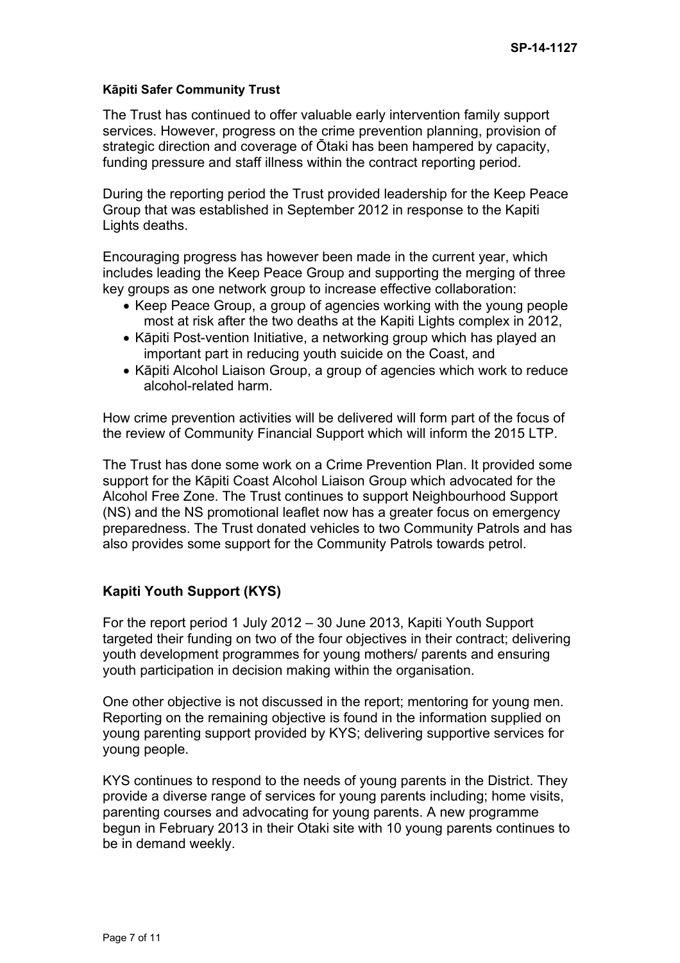### **Kāpiti Safer Community Trust**

The Trust has continued to offer valuable early intervention family support services. However, progress on the crime prevention planning, provision of strategic direction and coverage of Ōtaki has been hampered by capacity, funding pressure and staff illness within the contract reporting period.

During the reporting period the Trust provided leadership for the Keep Peace Group that was established in September 2012 in response to the Kapiti Lights deaths.

Encouraging progress has however been made in the current year, which includes leading the Keep Peace Group and supporting the merging of three key groups as one network group to increase effective collaboration:

- Keep Peace Group, a group of agencies working with the young people most at risk after the two deaths at the Kapiti Lights complex in 2012,
- Kāpiti Post-vention Initiative, a networking group which has played an important part in reducing youth suicide on the Coast, and
- Kāpiti Alcohol Liaison Group, a group of agencies which work to reduce alcohol-related harm.

How crime prevention activities will be delivered will form part of the focus of the review of Community Financial Support which will inform the 2015 LTP.

The Trust has done some work on a Crime Prevention Plan. It provided some support for the Kāpiti Coast Alcohol Liaison Group which advocated for the Alcohol Free Zone. The Trust continues to support Neighbourhood Support (NS) and the NS promotional leaflet now has a greater focus on emergency preparedness. The Trust donated vehicles to two Community Patrols and has also provides some support for the Community Patrols towards petrol.

## **Kapiti Youth Support (KYS)**

For the report period 1 July 2012 – 30 June 2013, Kapiti Youth Support targeted their funding on two of the four objectives in their contract; delivering youth development programmes for young mothers/ parents and ensuring youth participation in decision making within the organisation.

One other objective is not discussed in the report; mentoring for young men. Reporting on the remaining objective is found in the information supplied on young parenting support provided by KYS; delivering supportive services for young people.

KYS continues to respond to the needs of young parents in the District. They provide a diverse range of services for young parents including; home visits, parenting courses and advocating for young parents. A new programme begun in February 2013 in their Otaki site with 10 young parents continues to be in demand weekly.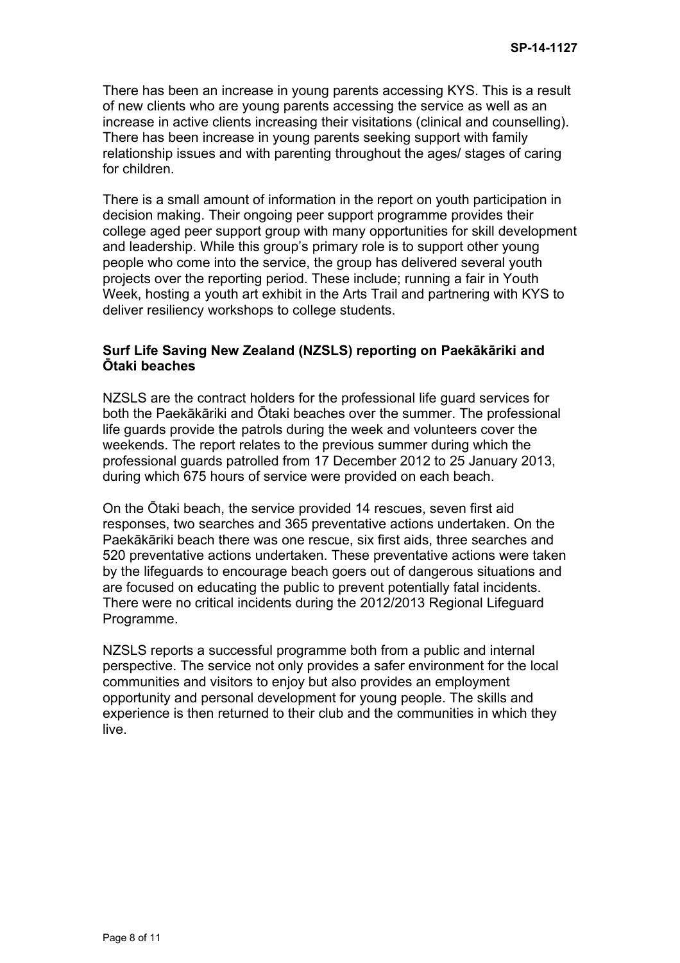There has been an increase in young parents accessing KYS. This is a result of new clients who are young parents accessing the service as well as an increase in active clients increasing their visitations (clinical and counselling). There has been increase in young parents seeking support with family relationship issues and with parenting throughout the ages/ stages of caring for children.

There is a small amount of information in the report on youth participation in decision making. Their ongoing peer support programme provides their college aged peer support group with many opportunities for skill development and leadership. While this group's primary role is to support other young people who come into the service, the group has delivered several youth projects over the reporting period. These include; running a fair in Youth Week, hosting a youth art exhibit in the Arts Trail and partnering with KYS to deliver resiliency workshops to college students.

## **Surf Life Saving New Zealand (NZSLS) reporting on Paekākāriki and Ōtaki beaches**

NZSLS are the contract holders for the professional life guard services for both the Paekākāriki and Ōtaki beaches over the summer. The professional life guards provide the patrols during the week and volunteers cover the weekends. The report relates to the previous summer during which the professional guards patrolled from 17 December 2012 to 25 January 2013, during which 675 hours of service were provided on each beach.

On the Ōtaki beach, the service provided 14 rescues, seven first aid responses, two searches and 365 preventative actions undertaken. On the Paekākāriki beach there was one rescue, six first aids, three searches and 520 preventative actions undertaken. These preventative actions were taken by the lifeguards to encourage beach goers out of dangerous situations and are focused on educating the public to prevent potentially fatal incidents. There were no critical incidents during the 2012/2013 Regional Lifeguard Programme.

NZSLS reports a successful programme both from a public and internal perspective. The service not only provides a safer environment for the local communities and visitors to enjoy but also provides an employment opportunity and personal development for young people. The skills and experience is then returned to their club and the communities in which they live.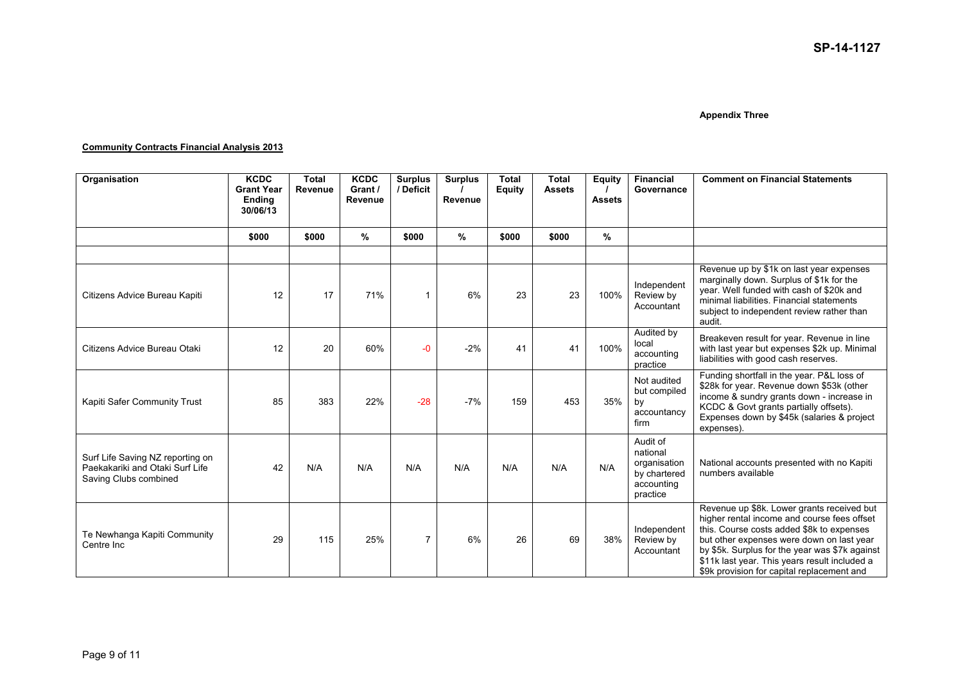#### **Appendix Three**

#### **Community Contracts Financial Analysis 2013**

| Organisation                                                                                 | <b>KCDC</b><br><b>Grant Year</b><br><b>Endina</b><br>30/06/13 | <b>Total</b><br><b>Revenue</b> | <b>KCDC</b><br>Grant /<br>Revenue | <b>Surplus</b><br>/ Deficit | <b>Surplus</b><br>Revenue | <b>Total</b><br><b>Equity</b> | <b>Total</b><br><b>Assets</b> | <b>Equity</b><br><b>Assets</b> | <b>Financial</b><br>Governance                                                 | <b>Comment on Financial Statements</b>                                                                                                                                                                                                                                                                                               |
|----------------------------------------------------------------------------------------------|---------------------------------------------------------------|--------------------------------|-----------------------------------|-----------------------------|---------------------------|-------------------------------|-------------------------------|--------------------------------|--------------------------------------------------------------------------------|--------------------------------------------------------------------------------------------------------------------------------------------------------------------------------------------------------------------------------------------------------------------------------------------------------------------------------------|
|                                                                                              | \$000                                                         | \$000                          | %                                 | \$000                       | $\%$                      | \$000                         | \$000                         | %                              |                                                                                |                                                                                                                                                                                                                                                                                                                                      |
|                                                                                              |                                                               |                                |                                   |                             |                           |                               |                               |                                |                                                                                |                                                                                                                                                                                                                                                                                                                                      |
| Citizens Advice Bureau Kapiti                                                                | 12                                                            | 17                             | 71%                               | 1                           | 6%                        | 23                            | 23                            | 100%                           | Independent<br>Review by<br>Accountant                                         | Revenue up by \$1k on last year expenses<br>marginally down. Surplus of \$1k for the<br>year. Well funded with cash of \$20k and<br>minimal liabilities. Financial statements<br>subject to independent review rather than<br>audit.                                                                                                 |
| Citizens Advice Bureau Otaki                                                                 | 12                                                            | 20                             | 60%                               | -0                          | $-2%$                     | 41                            | 41                            | 100%                           | Audited by<br>local<br>accounting<br>practice                                  | Breakeven result for year. Revenue in line<br>with last year but expenses \$2k up. Minimal<br>liabilities with good cash reserves.                                                                                                                                                                                                   |
| Kapiti Safer Community Trust                                                                 | 85                                                            | 383                            | 22%                               | $-28$                       | $-7%$                     | 159                           | 453                           | 35%                            | Not audited<br>but compiled<br>by<br>accountancy<br>firm                       | Funding shortfall in the year. P&L loss of<br>\$28k for year. Revenue down \$53k (other<br>income & sundry grants down - increase in<br>KCDC & Govt grants partially offsets).<br>Expenses down by \$45k (salaries & project<br>expenses).                                                                                           |
| Surf Life Saving NZ reporting on<br>Paekakariki and Otaki Surf Life<br>Saving Clubs combined | 42                                                            | N/A                            | N/A                               | N/A                         | N/A                       | N/A                           | N/A                           | N/A                            | Audit of<br>national<br>organisation<br>by chartered<br>accounting<br>practice | National accounts presented with no Kapiti<br>numbers available                                                                                                                                                                                                                                                                      |
| Te Newhanga Kapiti Community<br>Centre Inc.                                                  | 29                                                            | 115                            | 25%                               | $\overline{7}$              | 6%                        | 26                            | 69                            | 38%                            | Independent<br>Review by<br>Accountant                                         | Revenue up \$8k. Lower grants received but<br>higher rental income and course fees offset<br>this. Course costs added \$8k to expenses<br>but other expenses were down on last year<br>by \$5k. Surplus for the year was \$7k against<br>\$11k last year. This years result included a<br>\$9k provision for capital replacement and |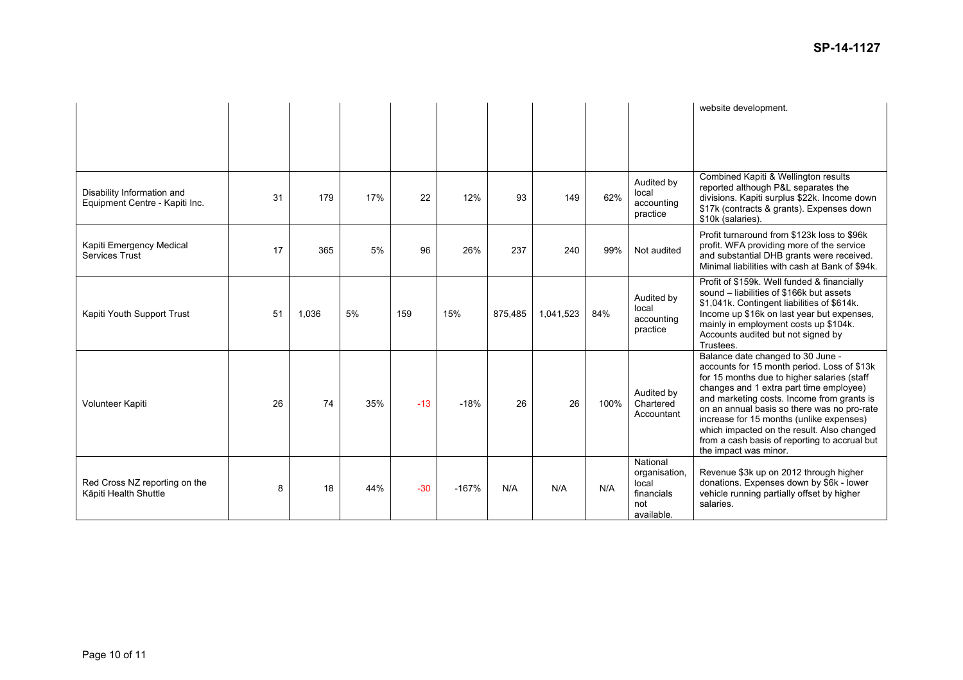|                                                              |    |       |     |       |         |         |           |      |                                                                       | website development.                                                                                                                                                                                                                                                                                                                                                                                                                        |
|--------------------------------------------------------------|----|-------|-----|-------|---------|---------|-----------|------|-----------------------------------------------------------------------|---------------------------------------------------------------------------------------------------------------------------------------------------------------------------------------------------------------------------------------------------------------------------------------------------------------------------------------------------------------------------------------------------------------------------------------------|
| Disability Information and<br>Equipment Centre - Kapiti Inc. | 31 | 179   | 17% | 22    | 12%     | 93      | 149       | 62%  | Audited by<br>local<br>accounting<br>practice                         | Combined Kapiti & Wellington results<br>reported although P&L separates the<br>divisions. Kapiti surplus \$22k. Income down<br>\$17k (contracts & grants). Expenses down<br>\$10k (salaries).                                                                                                                                                                                                                                               |
| Kapiti Emergency Medical<br>Services Trust                   | 17 | 365   | 5%  | 96    | 26%     | 237     | 240       | 99%  | Not audited                                                           | Profit turnaround from \$123k loss to \$96k<br>profit. WFA providing more of the service<br>and substantial DHB grants were received.<br>Minimal liabilities with cash at Bank of \$94k.                                                                                                                                                                                                                                                    |
| Kapiti Youth Support Trust                                   | 51 | 1,036 | 5%  | 159   | 15%     | 875.485 | 1,041,523 | 84%  | Audited by<br>local<br>accounting<br>practice                         | Profit of \$159k. Well funded & financially<br>sound – liabilities of \$166k but assets<br>\$1,041k. Contingent liabilities of \$614k.<br>Income up \$16k on last year but expenses,<br>mainly in employment costs up \$104k.<br>Accounts audited but not signed by<br>Trustees.                                                                                                                                                            |
| Volunteer Kapiti                                             | 26 | 74    | 35% | $-13$ | $-18%$  | 26      | 26        | 100% | Audited by<br>Chartered<br>Accountant                                 | Balance date changed to 30 June -<br>accounts for 15 month period. Loss of \$13k<br>for 15 months due to higher salaries (staff<br>changes and 1 extra part time employee)<br>and marketing costs. Income from grants is<br>on an annual basis so there was no pro-rate<br>increase for 15 months (unlike expenses)<br>which impacted on the result. Also changed<br>from a cash basis of reporting to accrual but<br>the impact was minor. |
| Red Cross NZ reporting on the<br>Kāpiti Health Shuttle       | 8  | 18    | 44% | $-30$ | $-167%$ | N/A     | N/A       | N/A  | National<br>organisation,<br>local<br>financials<br>not<br>available. | Revenue \$3k up on 2012 through higher<br>donations. Expenses down by \$6k - lower<br>vehicle running partially offset by higher<br>salaries.                                                                                                                                                                                                                                                                                               |